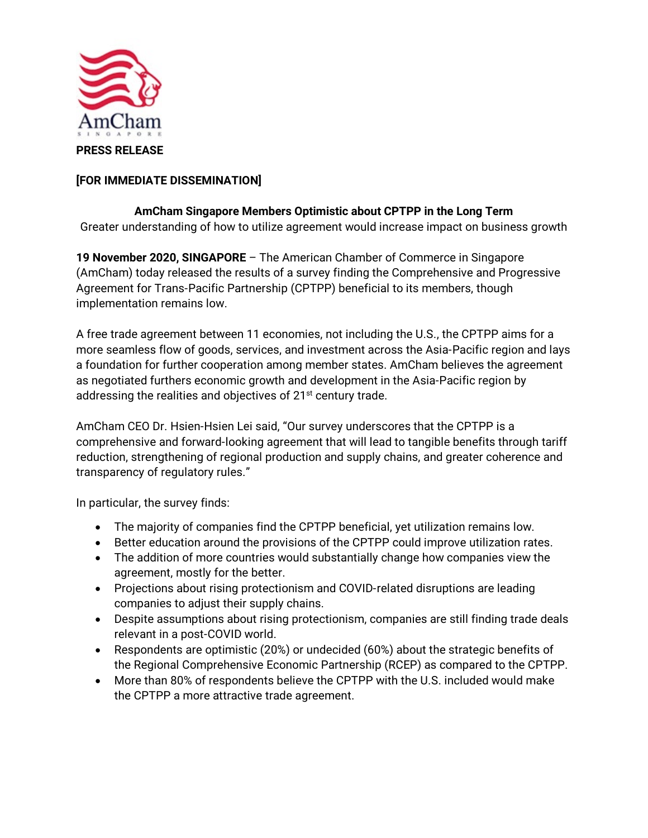

## **[FOR IMMEDIATE DISSEMINATION]**

## **AmCham Singapore Members Optimistic about CPTPP in the Long Term** Greater understanding of how to utilize agreement would increase impact on business growth

**19 November 2020, SINGAPORE** – The American Chamber of Commerce in Singapore (AmCham) today released the results of a survey finding the Comprehensive and Progressive Agreement for Trans-Pacific Partnership (CPTPP) beneficial to its members, though implementation remains low.

A free trade agreement between 11 economies, not including the U.S., the CPTPP aims for a more seamless flow of goods, services, and investment across the Asia-Pacific region and lays a foundation for further cooperation among member states. AmCham believes the agreement as negotiated furthers economic growth and development in the Asia-Pacific region by addressing the realities and objectives of 21<sup>st</sup> century trade.

AmCham CEO Dr. Hsien-Hsien Lei said, "Our survey underscores that the CPTPP is a comprehensive and forward-looking agreement that will lead to tangible benefits through tariff reduction, strengthening of regional production and supply chains, and greater coherence and transparency of regulatory rules."

In particular, the survey finds:

- The majority of companies find the CPTPP beneficial, yet utilization remains low.
- Better education around the provisions of the CPTPP could improve utilization rates.
- The addition of more countries would substantially change how companies view the agreement, mostly for the better.
- Projections about rising protectionism and COVID-related disruptions are leading companies to adjust their supply chains.
- Despite assumptions about rising protectionism, companies are still finding trade deals relevant in a post-COVID world.
- Respondents are optimistic (20%) or undecided (60%) about the strategic benefits of the Regional Comprehensive Economic Partnership (RCEP) as compared to the CPTPP.
- More than 80% of respondents believe the CPTPP with the U.S. included would make the CPTPP a more attractive trade agreement.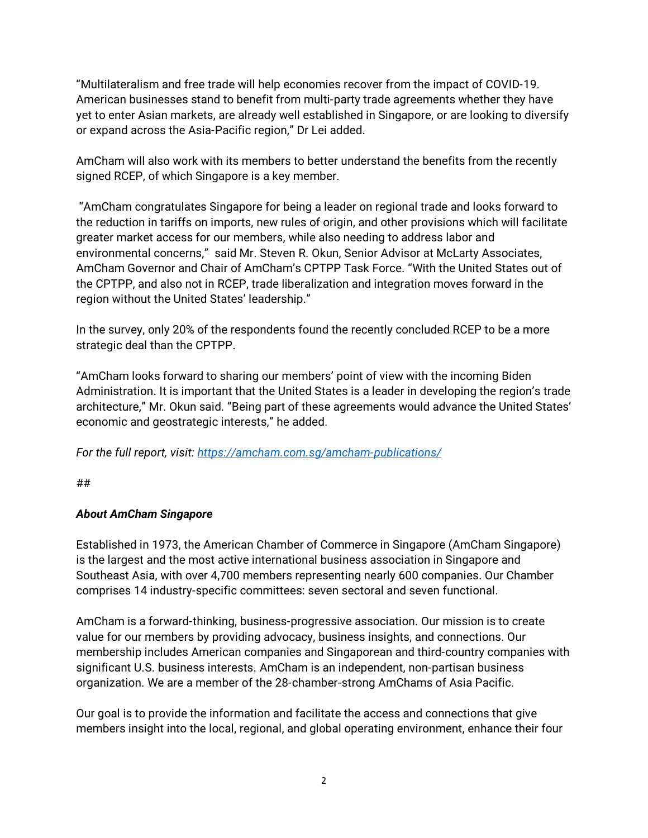"Multilateralism and free trade will help economies recover from the impact of COVID-19. American businesses stand to benefit from multi-party trade agreements whether they have yet to enter Asian markets, are already well established in Singapore, or are looking to diversify or expand across the Asia-Pacific region," Dr Lei added.

AmCham will also work with its members to better understand the benefits from the recently signed RCEP, of which Singapore is a key member.

"AmCham congratulates Singapore for being a leader on regional trade and looks forward to the reduction in tariffs on imports, new rules of origin, and other provisions which will facilitate greater market access for our members, while also needing to address labor and environmental concerns," said Mr. Steven R. Okun, Senior Advisor at McLarty Associates, AmCham Governor and Chair of AmCham's CPTPP Task Force. "With the United States out of the CPTPP, and also not in RCEP, trade liberalization and integration moves forward in the region without the United States' leadership."

In the survey, only 20% of the respondents found the recently concluded RCEP to be a more strategic deal than the CPTPP.

"AmCham looks forward to sharing our members' point of view with the incoming Biden Administration. It is important that the United States is a leader in developing the region's trade architecture," Mr. Okun said. "Being part of these agreements would advance the United States' economic and geostrategic interests," he added.

*For the full report, visit:<https://amcham.com.sg/amcham-publications/>*

##

## *About AmCham Singapore*

Established in 1973, the American Chamber of Commerce in Singapore (AmCham Singapore) is the largest and the most active international business association in Singapore and Southeast Asia, with over 4,700 members representing nearly 600 companies. Our Chamber comprises 14 industry-specific committees: seven sectoral and seven functional.

AmCham is a forward-thinking, business-progressive association. Our mission is to create value for our members by providing advocacy, business insights, and connections. Our membership includes American companies and Singaporean and third-country companies with significant U.S. business interests. AmCham is an independent, non-partisan business organization. We are a member of the 28-chamber-strong AmChams of Asia Pacific.

Our goal is to provide the information and facilitate the access and connections that give members insight into the local, regional, and global operating environment, enhance their four